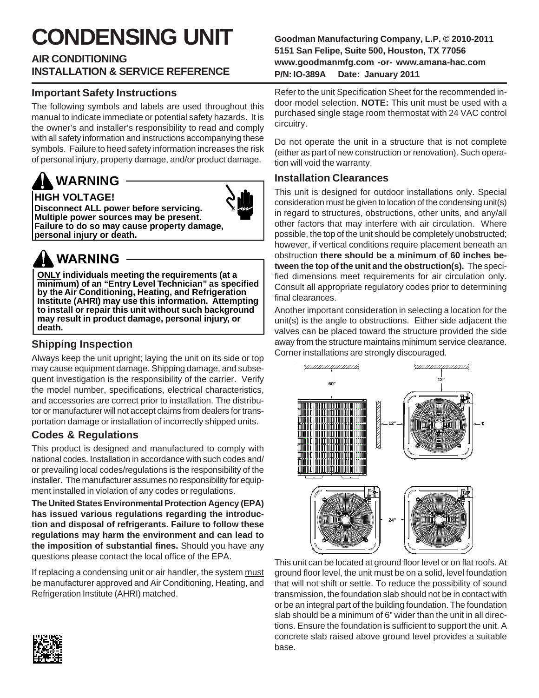# **CONDENSING UNIT**

### **AIR CONDITIONING INSTALLATION & SERVICE REFERENCE**

### **Important Safety Instructions**

The following symbols and labels are used throughout this manual to indicate immediate or potential safety hazards. It is the owner's and installer's responsibility to read and comply with all safety information and instructions accompanying these symbols. Failure to heed safety information increases the risk of personal injury, property damage, and/or product damage.

### **HIGH VOLTAGE! WARNING**



**Disconnect ALL power before servicing. Multiple power sources may be present. Failure to do so may cause property damage, personal injury or death.**

### **WARNING**

**ONLY individuals meeting the requirements (at a minimum) of an "Entry Level Technician" as specified by the Air Conditioning, Heating, and Refrigeration Institute (AHRI) may use this information. Attempting to install or repair this unit without such background may result in product damage, personal injury, or death.**

### **Shipping Inspection**

Always keep the unit upright; laying the unit on its side or top may cause equipment damage. Shipping damage, and subsequent investigation is the responsibility of the carrier. Verify the model number, specifications, electrical characteristics, and accessories are correct prior to installation. The distributor or manufacturer will not accept claims from dealers for transportation damage or installation of incorrectly shipped units.

### **Codes & Regulations**

This product is designed and manufactured to comply with national codes. Installation in accordance with such codes and/ or prevailing local codes/regulations is the responsibility of the installer. The manufacturer assumes no responsibility for equipment installed in violation of any codes or regulations.

**The United States Environmental Protection Agency (EPA) has issued various regulations regarding the introduction and disposal of refrigerants. Failure to follow these regulations may harm the environment and can lead to the imposition of substantial fines.** Should you have any questions please contact the local office of the EPA.

If replacing a condensing unit or air handler, the system must be manufacturer approved and Air Conditioning, Heating, and Refrigeration Institute (AHRI) matched.

**Goodman Manufacturing Company, L.P. © 2010-2011 5151 San Felipe, Suite 500, Houston, TX 77056 www.goodmanmfg.com -or- www.amana-hac.com P/N: IO-389A Date: January 2011**

Refer to the unit Specification Sheet for the recommended indoor model selection. **NOTE:** This unit must be used with a purchased single stage room thermostat with 24 VAC control circuitry.

Do not operate the unit in a structure that is not complete (either as part of new construction or renovation). Such operation will void the warranty.

#### **Installation Clearances**

This unit is designed for outdoor installations only. Special consideration must be given to location of the condensing unit(s) in regard to structures, obstructions, other units, and any/all other factors that may interfere with air circulation. Where possible, the top of the unit should be completely unobstructed; however, if vertical conditions require placement beneath an obstruction **there should be a minimum of 60 inches between the top of the unit and the obstruction(s).** The specified dimensions meet requirements for air circulation only. Consult all appropriate regulatory codes prior to determining final clearances.

Another important consideration in selecting a location for the unit(s) is the angle to obstructions. Either side adjacent the valves can be placed toward the structure provided the side away from the structure maintains minimum service clearance. Corner installations are strongly discouraged.



This unit can be located at ground floor level or on flat roofs. At ground floor level, the unit must be on a solid, level foundation that will not shift or settle. To reduce the possibility of sound transmission, the foundation slab should not be in contact with or be an integral part of the building foundation. The foundation slab should be a minimum of 6" wider than the unit in all directions. Ensure the foundation is sufficient to support the unit. A concrete slab raised above ground level provides a suitable base.

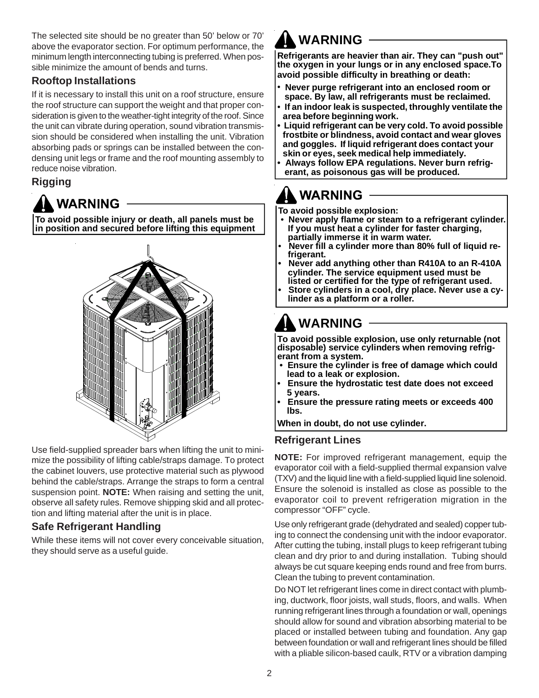The selected site should be no greater than 50' below or 70' above the evaporator section. For optimum performance, the minimum length interconnecting tubing is preferred. When possible minimize the amount of bends and turns.

### **Rooftop Installations**

If it is necessary to install this unit on a roof structure, ensure the roof structure can support the weight and that proper consideration is given to the weather-tight integrity of the roof. Since the unit can vibrate during operation, sound vibration transmission should be considered when installing the unit. Vibration absorbing pads or springs can be installed between the condensing unit legs or frame and the roof mounting assembly to reduce noise vibration.

### **Rigging**

**WARNING** 

**To avoid possible injury or death, all panels must be in position and secured before lifting this equipment**



Use field-supplied spreader bars when lifting the unit to minimize the possibility of lifting cable/straps damage. To protect the cabinet louvers, use protective material such as plywood behind the cable/straps. Arrange the straps to form a central suspension point. **NOTE:** When raising and setting the unit, observe all safety rules. Remove shipping skid and all protection and lifting material after the unit is in place.

### **Safe Refrigerant Handling**

While these items will not cover every conceivable situation, they should serve as a useful guide.

### **WARNING**

**Refrigerants are heavier than air. They can "push out" the oxygen in your lungs or in any enclosed space.To avoid possible difficulty in breathing or death:**

- **Never purge refrigerant into an enclosed room or space. By law, all refrigerants must be reclaimed.**
- **If an indoor leak is suspected, throughly ventilate the area before beginning work.**
- **Liquid refrigerant can be very cold. To avoid possible frostbite or blindness, avoid contact and wear gloves and goggles. If liquid refrigerant does contact your skin or eyes, seek medical help immediately.**
- **Always follow EPA regulations. Never burn refrig erant, as poisonous gas will be produced.**

### **WARNING**

**To avoid possible explosion:**

- **Never apply flame or steam to a refrigerant cylinder. If you must heat a cylinder for faster charging, partially immerse it in warm water.**
- **Never fill a cylinder more than 80% full of liquid re frigerant.** •
- **Never add anything other than R410A to an R-410A cylinder. The service equipment used must be listed or certified for the type of refrigerant used.**
- **Store cylinders in a cool, dry place. Never use a cy linder as a platform or a roller.**

## **WARNING**

**To avoid possible explosion, use only returnable (not disposable) service cylinders when removing refrigerant from a system.**

- **Ensure the cylinder is free of damage which could lead to a leak or explosion.**
- **Ensure the hydrostatic test date does not exceed 5 years.**
- **Ensure the pressure rating meets or exceeds 400 lbs.**

**When in doubt, do not use cylinder.**

### **Refrigerant Lines**

**NOTE:** For improved refrigerant management, equip the evaporator coil with a field-supplied thermal expansion valve (TXV) and the liquid line with a field-supplied liquid line solenoid. Ensure the solenoid is installed as close as possible to the evaporator coil to prevent refrigeration migration in the compressor "OFF" cycle.

Use only refrigerant grade (dehydrated and sealed) copper tubing to connect the condensing unit with the indoor evaporator. After cutting the tubing, install plugs to keep refrigerant tubing clean and dry prior to and during installation. Tubing should always be cut square keeping ends round and free from burrs. Clean the tubing to prevent contamination.

Do NOT let refrigerant lines come in direct contact with plumbing, ductwork, floor joists, wall studs, floors, and walls. When running refrigerant lines through a foundation or wall, openings should allow for sound and vibration absorbing material to be placed or installed between tubing and foundation. Any gap between foundation or wall and refrigerant lines should be filled with a pliable silicon-based caulk, RTV or a vibration damping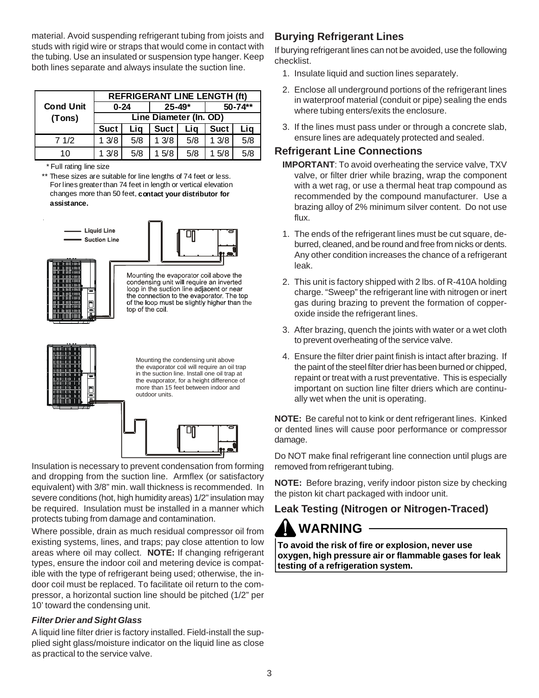material. Avoid suspending refrigerant tubing from joists and studs with rigid wire or straps that would come in contact with the tubing. Use an insulated or suspension type hanger. Keep both lines separate and always insulate the suction line.

|                  | <b>REFRIGERANT LINE LENGTH (ft)</b> |     |            |     |             |     |  |
|------------------|-------------------------------------|-----|------------|-----|-------------|-----|--|
| <b>Cond Unit</b> | $0 - 24$                            |     | $25 - 49*$ |     | $50 - 74**$ |     |  |
| (Tons)           | Line Diameter (In. OD)              |     |            |     |             |     |  |
|                  | <b>Suct</b>                         | Lia | Suct       | Lig | <b>Suct</b> | Lig |  |
| 71/2             | 13/8                                | 5/8 | 13/8       | 5/8 | 13/8        | 5/8 |  |
| 10               | 1.3/8                               | 5/8 | 15/8       | 5/8 | 1.5/8       | 5/8 |  |

\* Full rating line size

\*\* These sizes are suitable for line lengths of 74 feet or less. For lines greater than 74 feet in length or vertical elevation changes more than 50 feet, **contact your distributor for assistance.**







Mounting the evaporator coil above the condensing unit will require an inverted loop in the suction line adjacent or near the connection to the evaporator. The top of the loop must be slightly higher than the top of the coil.



Mounting the condensing unit above the evaporator coil will require an oil trap in the suction line. Install one oil trap at the evaporator, for a height difference of more than 15 feet between indoor and outdoor units.



Insulation is necessary to prevent condensation from forming and dropping from the suction line. Armflex (or satisfactory equivalent) with 3/8" min. wall thickness is recommended. In severe conditions (hot, high humidity areas) 1/2" insulation may be required. Insulation must be installed in a manner which protects tubing from damage and contamination.

Where possible, drain as much residual compressor oil from existing systems, lines, and traps; pay close attention to low areas where oil may collect. **NOTE:** If changing refrigerant types, ensure the indoor coil and metering device is compatible with the type of refrigerant being used; otherwise, the indoor coil must be replaced. To facilitate oil return to the compressor, a horizontal suction line should be pitched (1/2" per 10' toward the condensing unit.

#### *Filter Drier and Sight Glass*

A liquid line filter drier is factory installed. Field-install the supplied sight glass/moisture indicator on the liquid line as close as practical to the service valve.

### **Burying Refrigerant Lines**

If burying refrigerant lines can not be avoided, use the following checklist.

- 1. Insulate liquid and suction lines separately.
- 2. Enclose all underground portions of the refrigerant lines in waterproof material (conduit or pipe) sealing the ends where tubing enters/exits the enclosure.
- 3. If the lines must pass under or through a concrete slab, ensure lines are adequately protected and sealed.

### **Refrigerant Line Connections**

- **IMPORTANT**: To avoid overheating the service valve, TXV valve, or filter drier while brazing, wrap the component with a wet rag, or use a thermal heat trap compound as recommended by the compound manufacturer. Use a brazing alloy of 2% minimum silver content. Do not use flux.
- 1. The ends of the refrigerant lines must be cut square, deburred, cleaned, and be round and free from nicks or dents. Any other condition increases the chance of a refrigerant leak.
- 2. This unit is factory shipped with 2 lbs. of R-410A holding charge. "Sweep" the refrigerant line with nitrogen or inert gas during brazing to prevent the formation of copperoxide inside the refrigerant lines.
- 3. After brazing, quench the joints with water or a wet cloth to prevent overheating of the service valve.
- 4. Ensure the filter drier paint finish is intact after brazing. If the paint of the steel filter drier has been burned or chipped, repaint or treat with a rust preventative. This is especially important on suction line filter driers which are continually wet when the unit is operating.

**NOTE:** Be careful not to kink or dent refrigerant lines. Kinked or dented lines will cause poor performance or compressor damage.

Do NOT make final refrigerant line connection until plugs are removed from refrigerant tubing.

**NOTE:** Before brazing, verify indoor piston size by checking the piston kit chart packaged with indoor unit.

### **Leak Testing (Nitrogen or Nitrogen-Traced)**

### **WARNING**

**To avoid the risk of fire or explosion, never use oxygen, high pressure air or flammable gases for leak testing of a refrigeration system.**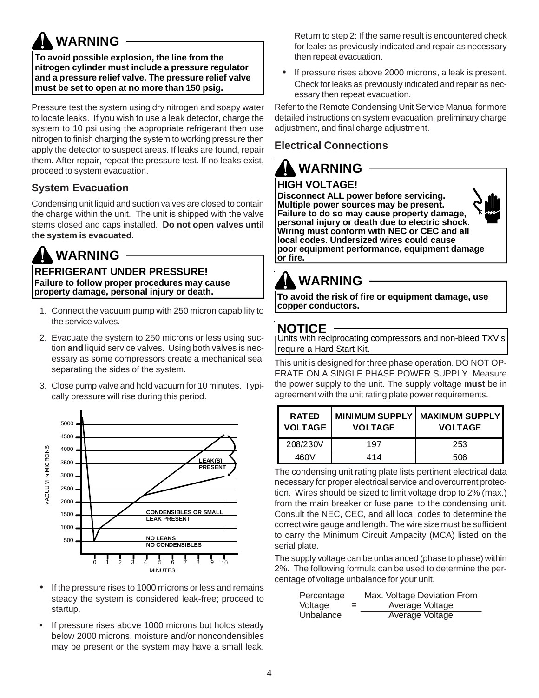# **WARNING**

**To avoid possible explosion, the line from the nitrogen cylinder must include a pressure regulator and a pressure relief valve. The pressure relief valve must be set to open at no more than 150 psig.**

Pressure test the system using dry nitrogen and soapy water to locate leaks. If you wish to use a leak detector, charge the system to 10 psi using the appropriate refrigerant then use nitrogen to finish charging the system to working pressure then apply the detector to suspect areas. If leaks are found, repair them. After repair, repeat the pressure test. If no leaks exist, proceed to system evacuation.

### **System Evacuation**

Condensing unit liquid and suction valves are closed to contain the charge within the unit. The unit is shipped with the valve stems closed and caps installed. **Do not open valves until the system is evacuated.**

# **WARNING**

**REFRIGERANT UNDER PRESSURE! Failure to follow proper procedures may cause property damage, personal injury or death.**

- 1. Connect the vacuum pump with 250 micron capability to the service valves.
- 2. Evacuate the system to 250 microns or less using suction **and** liquid service valves. Using both valves is necessary as some compressors create a mechanical seal separating the sides of the system.
- 3. Close pump valve and hold vacuum for 10 minutes. Typically pressure will rise during this period.



- If the pressure rises to 1000 microns or less and remains steady the system is considered leak-free; proceed to startup.
- If pressure rises above 1000 microns but holds steady below 2000 microns, moisture and/or noncondensibles may be present or the system may have a small leak.

Return to step 2: If the same result is encountered check for leaks as previously indicated and repair as necessary then repeat evacuation.

If pressure rises above 2000 microns, a leak is present. Check for leaks as previously indicated and repair as necessary then repeat evacuation.

Refer to the Remote Condensing Unit Service Manual for more detailed instructions on system evacuation, preliminary charge adjustment, and final charge adjustment.

### **Electrical Connections**

# **WARNING**

### **HIGH VOLTAGE!**

**Disconnect ALL power before servicing. Multiple power sources may be present. Failure to do so may cause property damage, personal injury or death due to electric shock. Wiring must conform with NEC or CEC and all local codes. Undersized wires could cause poor equipment performance, equipment damage or fire.**

### **WARNING**

**To avoid the risk of fire or equipment damage, use copper conductors.**

### **NOTICE**

Units with reciprocating compressors and non-bleed TXV's require a Hard Start Kit.

This unit is designed for three phase operation. DO NOT OP-ERATE ON A SINGLE PHASE POWER SUPPLY. Measure the power supply to the unit. The supply voltage **must** be in agreement with the unit rating plate power requirements.

| <b>RATED</b><br><b>VOLTAGE</b> | <b>VOLTAGE</b> | MINIMUM SUPPLY   MAXIMUM SUPPLY  <br><b>VOLTAGE</b> |
|--------------------------------|----------------|-----------------------------------------------------|
| 208/230V                       | 197            | 253                                                 |
| 460V                           | 414            | 506                                                 |

The condensing unit rating plate lists pertinent electrical data necessary for proper electrical service and overcurrent protection. Wires should be sized to limit voltage drop to 2% (max.) from the main breaker or fuse panel to the condensing unit. Consult the NEC, CEC, and all local codes to determine the correct wire gauge and length. The wire size must be sufficient to carry the Minimum Circuit Ampacity (MCA) listed on the serial plate.

The supply voltage can be unbalanced (phase to phase) within 2%. The following formula can be used to determine the percentage of voltage unbalance for your unit.

| Percentage |   | Max. Voltage Deviation From |
|------------|---|-----------------------------|
| Voltage    | = | Average Voltage             |
| Unbalance  |   | Average Voltage             |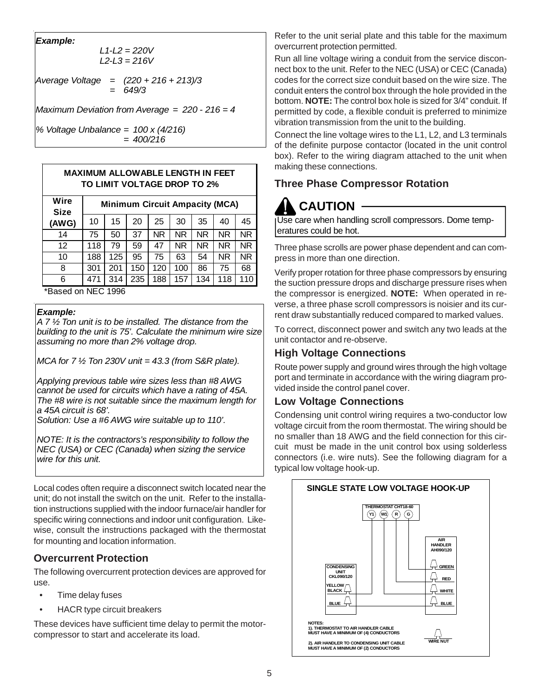#### *Example:*

| $L1-L2 = 220V$ |  |
|----------------|--|
| $L2-L3 = 216V$ |  |

*Average Voltage = (220 + 216 + 213)/3 = 649/3*

*Maximum Deviation from Average = 220 - 216 = 4*

*% Voltage Unbalance = 100 x (4/216) = 400/216*

#### **MAXIMUM ALLOWABLE LENGTH IN FEET TO LIMIT VOLTAGE DROP TO 2%**

| Wire<br><b>Size</b> | <b>Minimum Circuit Ampacity (MCA)</b> |     |     |           |           |           |           |           |
|---------------------|---------------------------------------|-----|-----|-----------|-----------|-----------|-----------|-----------|
| (AWG)               | 10                                    | 15  | 20  | 25        | 30        | 35        | 40        | 45        |
| 14                  | 75                                    | 50  | 37  | <b>NR</b> | <b>NR</b> | <b>NR</b> | <b>NR</b> | NR.       |
| $12 \overline{ }$   | 118                                   | 79  | 59  | 47        | <b>NR</b> | <b>NR</b> | <b>NR</b> | NR.       |
| 10                  | 188                                   | 125 | 95  | 75        | 63        | 54        | <b>NR</b> | <b>NR</b> |
| 8                   | 301                                   | 201 | 150 | 120       | 100       | 86        | 75        | 68        |
| 6                   | 471                                   | 314 | 235 | 188       | 157       | 134       | 118       | 110       |

\*Based on NEC 1996

#### *Example:*

*A 7 ½ Ton unit is to be installed. The distance from the building to the unit is 75'. Calculate the minimum wire size assuming no more than 2% voltage drop.*

*MCA for 7 <sup>1</sup>/<sub>2</sub> Ton 230V unit = 43.3 (from S&R plate).* 

*Applying previous table wire sizes less than #8 AWG cannot be used for circuits which have a rating of 45A. The #8 wire is not suitable since the maximum length for a 45A circuit is 68'.* 

*Solution: Use a #6 AWG wire suitable up to 110'.* 

*NOTE: It is the contractors's responsibility to follow the NEC (USA) or CEC (Canada) when sizing the service wire for this unit.*

Local codes often require a disconnect switch located near the unit; do not install the switch on the unit. Refer to the installation instructions supplied with the indoor furnace/air handler for specific wiring connections and indoor unit configuration. Likewise, consult the instructions packaged with the thermostat for mounting and location information.

### **Overcurrent Protection**

The following overcurrent protection devices are approved for use.

- Time delay fuses
- HACR type circuit breakers

These devices have sufficient time delay to permit the motorcompressor to start and accelerate its load.

Refer to the unit serial plate and this table for the maximum overcurrent protection permitted.

Run all line voltage wiring a conduit from the service disconnect box to the unit. Refer to the NEC (USA) or CEC (Canada) codes for the correct size conduit based on the wire size. The conduit enters the control box through the hole provided in the bottom. **NOTE:** The control box hole is sized for 3/4" conduit. If permitted by code, a flexible conduit is preferred to minimize vibration transmission from the unit to the building.

Connect the line voltage wires to the L1, L2, and L3 terminals of the definite purpose contactor (located in the unit control box). Refer to the wiring diagram attached to the unit when making these connections.

### **Three Phase Compressor Rotation**

### **CAUTION**

Use care when handling scroll compressors. Dome temperatures could be hot.

Three phase scrolls are power phase dependent and can compress in more than one direction.

Verify proper rotation for three phase compressors by ensuring the suction pressure drops and discharge pressure rises when the compressor is energized. **NOTE:** When operated in reverse, a three phase scroll compressors is noisier and its current draw substantially reduced compared to marked values.

To correct, disconnect power and switch any two leads at the unit contactor and re-observe.

### **High Voltage Connections**

Route power supply and ground wires through the high voltage port and terminate in accordance with the wiring diagram provided inside the control panel cover.

### **Low Voltage Connections**

Condensing unit control wiring requires a two-conductor low voltage circuit from the room thermostat. The wiring should be no smaller than 18 AWG and the field connection for this circuit must be made in the unit control box using solderless connectors (i.e. wire nuts). See the following diagram for a typical low voltage hook-up.

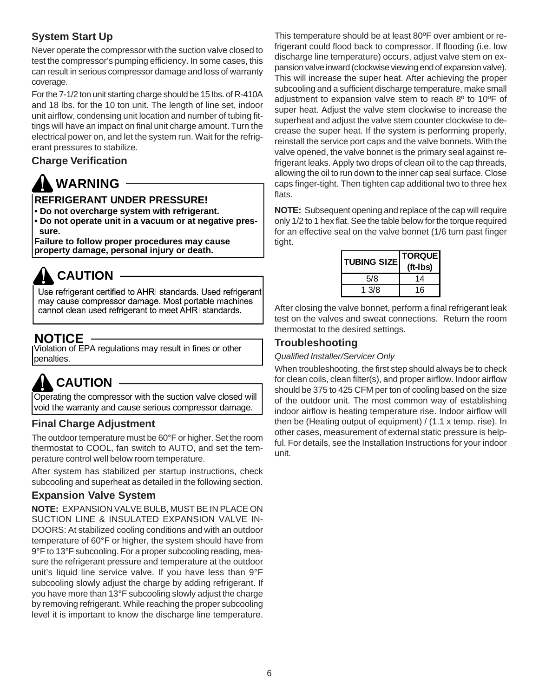### **System Start Up**

Never operate the compressor with the suction valve closed to test the compressor's pumping efficiency. In some cases, this can result in serious compressor damage and loss of warranty coverage.

For the 7-1/2 ton unit starting charge should be 15 lbs. of R-410A and 18 lbs. for the 10 ton unit. The length of line set, indoor unit airflow, condensing unit location and number of tubing fittings will have an impact on final unit charge amount. Turn the electrical power on, and let the system run. Wait for the refrigerant pressures to stabilize.

#### **Charge Verification**

## **WARNING**

#### **REFRIGERANT UNDER PRESSURE!**

- **Do not overcharge system with refrigerant.**
- **Do not operate unit in a vacuum or at negative pres sure.**

**Failure to follow proper procedures may cause property damage, personal injury or death.**

### **CAUTION**

Use refrigerant certified to AHRI standards. Used refrigerant may cause compressor damage. Most portable machines cannot clean used refrigerant to meet AHRI standards.

### **NOTICE**

Violation of EPA regulations may result in fines or other penalties.

### **CAUTION**

Operating the compressor with the suction valve closed will void the warranty and cause serious compressor damage.

### **Final Charge Adjustment**

The outdoor temperature must be 60°F or higher. Set the room thermostat to COOL, fan switch to AUTO, and set the temperature control well below room temperature.

After system has stabilized per startup instructions, check subcooling and superheat as detailed in the following section.

#### **Expansion Valve System**

**NOTE:** EXPANSION VALVE BULB, MUST BE IN PLACE ON SUCTION LINE & INSULATED EXPANSION VALVE IN-DOORS: At stabilized cooling conditions and with an outdoor temperature of 60°F or higher, the system should have from 9°F to 13°F subcooling. For a proper subcooling reading, measure the refrigerant pressure and temperature at the outdoor unit's liquid line service valve. If you have less than 9°F subcooling slowly adjust the charge by adding refrigerant. If you have more than 13°F subcooling slowly adjust the charge by removing refrigerant. While reaching the proper subcooling level it is important to know the discharge line temperature. This temperature should be at least 80ºF over ambient or refrigerant could flood back to compressor. If flooding (i.e. low discharge line temperature) occurs, adjust valve stem on expansion valve inward (clockwise viewing end of expansion valve). This will increase the super heat. After achieving the proper subcooling and a sufficient discharge temperature, make small adjustment to expansion valve stem to reach 8º to 10ºF of super heat. Adjust the valve stem clockwise to increase the superheat and adjust the valve stem counter clockwise to decrease the super heat. If the system is performing properly, reinstall the service port caps and the valve bonnets. With the valve opened, the valve bonnet is the primary seal against refrigerant leaks. Apply two drops of clean oil to the cap threads, allowing the oil to run down to the inner cap seal surface. Close caps finger-tight. Then tighten cap additional two to three hex flats.

**NOTE:** Subsequent opening and replace of the cap will require only 1/2 to 1 hex flat. See the table below for the torque required for an effective seal on the valve bonnet (1/6 turn past finger tight.

| <b>TUBING SIZE</b> | <b>TORQUE</b><br>(ft-Ibs) |
|--------------------|---------------------------|
| 5/8                | 14                        |
| 1.3/8              | 16                        |

After closing the valve bonnet, perform a final refrigerant leak test on the valves and sweat connections. Return the room thermostat to the desired settings.

#### **Troubleshooting**

#### *Qualified Installer/Servicer Only*

When troubleshooting, the first step should always be to check for clean coils, clean filter(s), and proper airflow. Indoor airflow should be 375 to 425 CFM per ton of cooling based on the size of the outdoor unit. The most common way of establishing indoor airflow is heating temperature rise. Indoor airflow will then be (Heating output of equipment) / (1.1 x temp. rise). In other cases, measurement of external static pressure is helpful. For details, see the Installation Instructions for your indoor unit.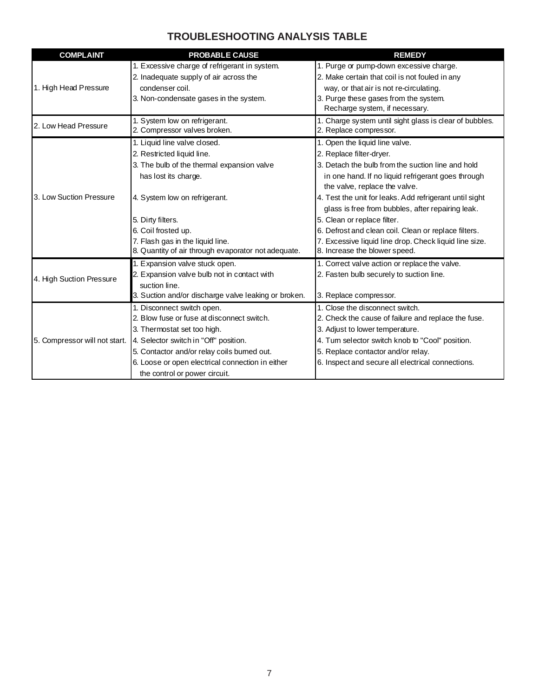### **TROUBLESHOOTING ANALYSIS TABLE**

| <b>COMPLAINT</b>              | <b>PROBABLE CAUSE</b>                                | <b>REMEDY</b>                                           |  |  |  |
|-------------------------------|------------------------------------------------------|---------------------------------------------------------|--|--|--|
|                               | 1. Excessive charge of refrigerant in system.        | 1. Purge or pump-down excessive charge.                 |  |  |  |
| 1. High Head Pressure         | 2. Inadequate supply of air across the               | 2. Make certain that coil is not fouled in any          |  |  |  |
|                               | condenser coil.                                      | way, or that air is not re-circulating.                 |  |  |  |
|                               | 3. Non-condensate gases in the system.               | 3. Purge these gases from the system.                   |  |  |  |
|                               |                                                      | Recharge system, if necessary.                          |  |  |  |
| 2. Low Head Pressure          | 1. System low on refrigerant.                        | 1. Charge system until sight glass is clear of bubbles. |  |  |  |
|                               | 2. Compressor valves broken.                         | 2. Replace compressor.                                  |  |  |  |
|                               | 1. Liquid line valve closed.                         | 1. Open the liquid line valve.                          |  |  |  |
|                               | 2. Restricted liquid line.                           | 2. Replace filter-dryer.                                |  |  |  |
|                               | 3. The bulb of the thermal expansion valve           | 3. Detach the bulb from the suction line and hold       |  |  |  |
|                               | has lost its charge.                                 | in one hand. If no liquid refrigerant goes through      |  |  |  |
|                               |                                                      | the valve, replace the valve.                           |  |  |  |
| 3. Low Suction Pressure       | 4. System low on refrigerant.                        | 4. Test the unit for leaks. Add refrigerant until sight |  |  |  |
|                               |                                                      | glass is free from bubbles, after repairing leak.       |  |  |  |
|                               | 5. Dirty filters.                                    | 5. Clean or replace filter.                             |  |  |  |
|                               | 6. Coil frosted up.                                  | 6. Defrost and clean coil. Clean or replace filters.    |  |  |  |
|                               | 7. Flash gas in the liquid line.                     | 7. Excessive liquid line drop. Check liquid line size.  |  |  |  |
|                               | 8. Quantity of air through evaporator not adequate.  | 8. Increase the blower speed.                           |  |  |  |
| 4. High Suction Pressure      | 1. Expansion valve stuck open.                       | 1. Correct valve action or replace the valve.           |  |  |  |
|                               | 2. Expansion valve bulb not in contact with          | 2. Fasten bulb securely to suction line.                |  |  |  |
|                               | suction line.                                        |                                                         |  |  |  |
|                               | 3. Suction and/or discharge valve leaking or broken. | 3. Replace compressor.                                  |  |  |  |
| 5. Compressor will not start. | 1. Disconnect switch open.                           | 1. Close the disconnect switch.                         |  |  |  |
|                               | 2. Blow fuse or fuse at disconnect switch.           | 2. Check the cause of failure and replace the fuse.     |  |  |  |
|                               | 3. Thermostat set too high.                          | 3. Adjust to lower temperature.                         |  |  |  |
|                               | 4. Selector switch in "Off" position.                | 4. Turn selector switch knob to "Cool" position.        |  |  |  |
|                               | 5. Contactor and/or relay coils burned out.          | 5. Replace contactor and/or relay.                      |  |  |  |
|                               | 6. Loose or open electrical connection in either     | 6. Inspect and secure all electrical connections.       |  |  |  |
|                               | the control or power circuit.                        |                                                         |  |  |  |